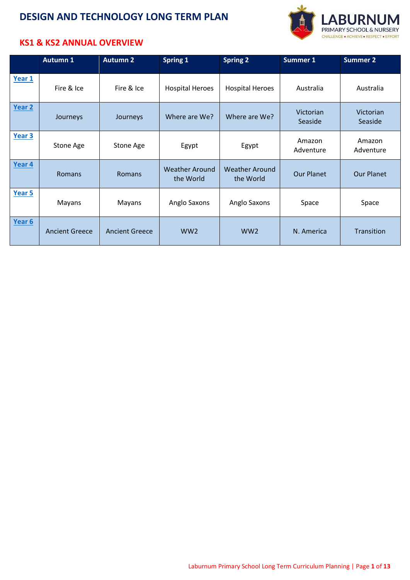

#### **KS1 & KS2 ANNUAL OVERVIEW**

|        | <b>Autumn 1</b>       | <b>Autumn 2</b>       | Spring 1                           | <b>Spring 2</b>                    | <b>Summer 1</b>      | <b>Summer 2</b>      |
|--------|-----------------------|-----------------------|------------------------------------|------------------------------------|----------------------|----------------------|
| Year 1 | Fire & Ice            | Fire & Ice            | <b>Hospital Heroes</b>             | <b>Hospital Heroes</b>             | Australia            | Australia            |
| Year 2 | Journeys              | Journeys              | Where are We?                      | Where are We?                      | Victorian<br>Seaside | Victorian<br>Seaside |
| Year 3 | Stone Age             | Stone Age             | Egypt                              | Egypt                              | Amazon<br>Adventure  | Amazon<br>Adventure  |
| Year 4 | Romans                | <b>Romans</b>         | <b>Weather Around</b><br>the World | <b>Weather Around</b><br>the World | <b>Our Planet</b>    | <b>Our Planet</b>    |
| Year 5 | Mayans                | Mayans                | Anglo Saxons                       | Anglo Saxons                       | Space                | Space                |
| Year 6 | <b>Ancient Greece</b> | <b>Ancient Greece</b> | WW <sub>2</sub>                    | WW <sub>2</sub>                    | N. America           | Transition           |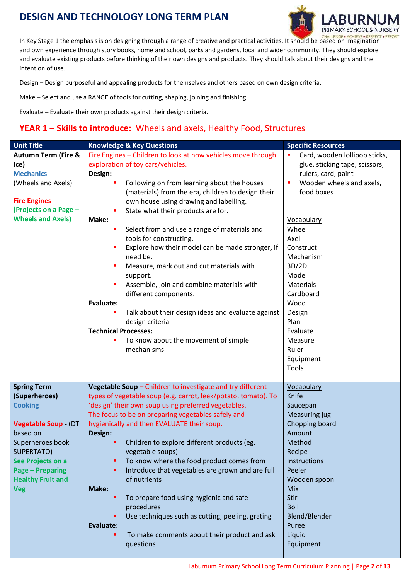

In Key Stage 1 the emphasis is on designing through a range of creative and practical activities. It should be based on imagination and own experience through story books, home and school, parks and gardens, local and wider community. They should explore and evaluate existing products before thinking of their own designs and products. They should talk about their designs and the intention of use.

Design – Design purposeful and appealing products for themselves and others based on own design criteria.

Make – Select and use a RANGE of tools for cutting, shaping, joining and finishing.

Evaluate – Evaluate their own products against their design criteria.

#### <span id="page-1-0"></span>**YEAR 1 – Skills to introduce:** Wheels and axels, Healthy Food, Structures

| <b>Unit Title</b>              | <b>Knowledge &amp; Key Questions</b>                           | <b>Specific Resources</b>      |  |
|--------------------------------|----------------------------------------------------------------|--------------------------------|--|
| <b>Autumn Term (Fire &amp;</b> | Fire Engines - Children to look at how vehicles move through   | Card, wooden lollipop sticks,  |  |
| Ice)                           | exploration of toy cars/vehicles.                              | glue, sticking tape, scissors, |  |
| <b>Mechanics</b>               | Design:                                                        | rulers, card, paint            |  |
| (Wheels and Axels)             | Following on from learning about the houses<br>٠               | Wooden wheels and axels,<br>×  |  |
|                                | (materials) from the era, children to design their             | food boxes                     |  |
| <b>Fire Engines</b>            | own house using drawing and labelling.                         |                                |  |
| (Projects on a Page -          | State what their products are for.                             |                                |  |
| <b>Wheels and Axels)</b>       | Make:                                                          | <b>Vocabulary</b>              |  |
|                                | Select from and use a range of materials and<br>٠              | Wheel                          |  |
|                                | tools for constructing.                                        | Axel                           |  |
|                                | Explore how their model can be made stronger, if               | Construct                      |  |
|                                | need be.                                                       | Mechanism                      |  |
|                                | Measure, mark out and cut materials with                       | 3D/2D                          |  |
|                                | support.                                                       | Model                          |  |
|                                | Assemble, join and combine materials with                      | <b>Materials</b>               |  |
|                                | different components.                                          | Cardboard                      |  |
|                                | Evaluate:                                                      | Wood                           |  |
|                                | Talk about their design ideas and evaluate against             | Design                         |  |
|                                | design criteria                                                | Plan                           |  |
|                                | <b>Technical Processes:</b>                                    | Evaluate                       |  |
|                                | To know about the movement of simple                           | Measure                        |  |
|                                | mechanisms                                                     | Ruler                          |  |
|                                |                                                                | Equipment                      |  |
|                                |                                                                | Tools                          |  |
|                                |                                                                |                                |  |
| <b>Spring Term</b>             | Vegetable Soup - Children to investigate and try different     | Vocabulary                     |  |
| (Superheroes)                  | types of vegetable soup (e.g. carrot, leek/potato, tomato). To | Knife                          |  |
| <b>Cooking</b>                 | 'design' their own soup using preferred vegetables.            | Saucepan                       |  |
|                                | The focus to be on preparing vegetables safely and             | <b>Measuring jug</b>           |  |
| <b>Vegetable Soup - (DT</b>    | hygienically and then EVALUATE their soup.                     | Chopping board                 |  |
| based on                       | Design:                                                        | Amount                         |  |
| Superheroes book               | Children to explore different products (eg.                    | Method                         |  |
| <b>SUPERTATO)</b>              | vegetable soups)                                               | Recipe                         |  |
| See Projects on a              | To know where the food product comes from                      | Instructions                   |  |
| <b>Page - Preparing</b>        | Introduce that vegetables are grown and are full               | Peeler                         |  |
| <b>Healthy Fruit and</b>       | of nutrients                                                   | Wooden spoon                   |  |
| <b>Veg</b>                     | Make:                                                          | Mix                            |  |
|                                | To prepare food using hygienic and safe<br>٠                   | Stir                           |  |
|                                | procedures                                                     | Boil                           |  |
|                                | Use techniques such as cutting, peeling, grating<br>٠          | Blend/Blender                  |  |
|                                | Evaluate:                                                      | Puree                          |  |
|                                | To make comments about their product and ask                   | Liquid                         |  |
|                                | questions                                                      | Equipment                      |  |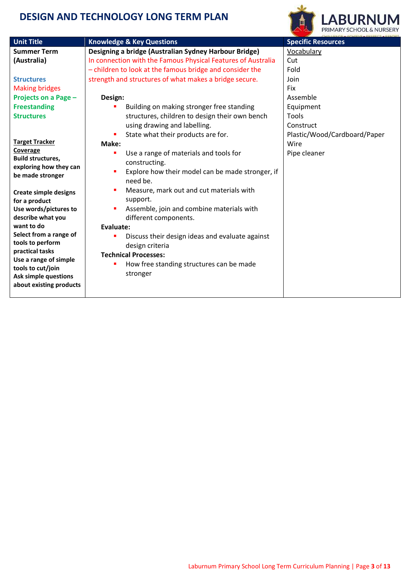

| <b>Unit Title</b>                                  | <b>Knowledge &amp; Key Questions</b>                         | <b>Specific Resources</b>    |
|----------------------------------------------------|--------------------------------------------------------------|------------------------------|
| <b>Summer Term</b>                                 | Designing a bridge (Australian Sydney Harbour Bridge)        | Vocabulary                   |
| (Australia)                                        | In connection with the Famous Physical Features of Australia | Cut                          |
|                                                    | - children to look at the famous bridge and consider the     | Fold                         |
| <b>Structures</b>                                  | strength and structures of what makes a bridge secure.       | Join                         |
| <b>Making bridges</b>                              |                                                              | Fix                          |
| Projects on a Page -                               | Design:                                                      | Assemble                     |
| <b>Freestanding</b>                                | Building on making stronger free standing                    | Equipment                    |
| <b>Structures</b>                                  | structures, children to design their own bench               | Tools                        |
|                                                    | using drawing and labelling.                                 | Construct                    |
|                                                    | State what their products are for.                           | Plastic/Wood/Cardboard/Paper |
| <b>Target Tracker</b>                              | Make:                                                        | Wire                         |
| Coverage                                           | Use a range of materials and tools for<br>٠                  | Pipe cleaner                 |
| <b>Build structures,</b><br>exploring how they can | constructing.                                                |                              |
| be made stronger                                   | Explore how their model can be made stronger, if<br>٠        |                              |
|                                                    | need be.                                                     |                              |
| <b>Create simple designs</b>                       | Measure, mark out and cut materials with                     |                              |
| for a product                                      | support.                                                     |                              |
| Use words/pictures to                              | Assemble, join and combine materials with                    |                              |
| describe what you                                  | different components.                                        |                              |
| want to do                                         | Evaluate:                                                    |                              |
| Select from a range of                             | Discuss their design ideas and evaluate against              |                              |
| tools to perform<br>practical tasks                | design criteria                                              |                              |
| Use a range of simple                              | <b>Technical Processes:</b>                                  |                              |
| tools to cut/join                                  | How free standing structures can be made<br>٠                |                              |
| <b>Ask simple questions</b>                        | stronger                                                     |                              |
| about existing products                            |                                                              |                              |
|                                                    |                                                              |                              |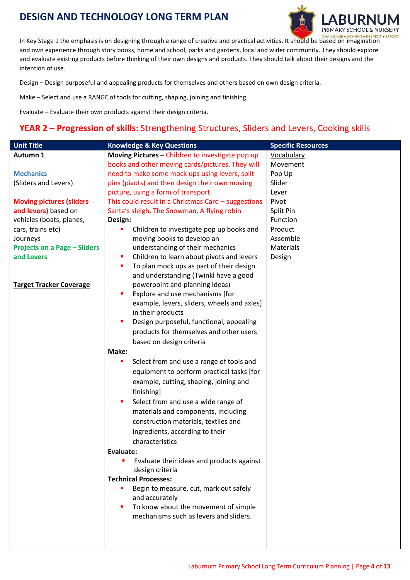

In Key Stage 1 the emphasis is on designing through a range of creative and practical activities. It should be based on imagination and own experience through story books, home and school, parks and gardens, local and wider community. They should explore and evaluate existing products before thinking of their own designs and products. They should talk about their designs and the intention of use.

Design – Design purposeful and appealing products for themselves and others based on own design criteria.

Make – Select and use a RANGE of tools for cutting, shaping, joining and finishing.

Evaluate – Evaluate their own products against their design criteria.

#### <span id="page-3-0"></span>**YEAR 2 – Progression of skills:** Strengthening Structures, Sliders and Levers, Cooking skills

| <b>Unit Title</b>                   | <b>Knowledge &amp; Key Questions</b>                | <b>Specific Resources</b> |
|-------------------------------------|-----------------------------------------------------|---------------------------|
| Autumn 1                            | Moving Pictures - Children to investigate pop up    | Vocabulary                |
|                                     | books and other moving cards/pictures. They will    | Movement                  |
| <b>Mechanics</b>                    | need to make some mock ups using levers, split      | Pop Up                    |
| (Sliders and Levers)                | pins (pivots) and then design their own moving      | Slider                    |
|                                     | picture, using a form of transport.                 | Lever                     |
| <b>Moving pictures (sliders</b>     | This could result in a Christmas Card - suggestions | Pivot                     |
| and levers) based on                | Santa's sleigh, The Snowman, A flying robin         | Split Pin                 |
| vehicles (boats, planes,            | Design:                                             | Function                  |
| cars, trains etc)                   | Children to investigate pop up books and            | Product                   |
| Journeys                            | moving books to develop an                          | Assemble                  |
| <b>Projects on a Page - Sliders</b> | understanding of their mechanics                    | <b>Materials</b>          |
| and Levers                          | Children to learn about pivots and levers<br>٠      | Design                    |
|                                     | To plan mock ups as part of their design<br>٠       |                           |
|                                     | and understanding (Twinkl have a good               |                           |
| <b>Target Tracker Coverage</b>      | powerpoint and planning ideas)                      |                           |
|                                     | Explore and use mechanisms [for<br>٠                |                           |
|                                     | example, levers, sliders, wheels and axles]         |                           |
|                                     | in their products                                   |                           |
|                                     | Design purposeful, functional, appealing<br>٠       |                           |
|                                     | products for themselves and other users             |                           |
|                                     | based on design criteria                            |                           |
|                                     | Make:                                               |                           |
|                                     | Select from and use a range of tools and<br>٠       |                           |
|                                     | equipment to perform practical tasks [for           |                           |
|                                     | example, cutting, shaping, joining and              |                           |
|                                     | finishing]                                          |                           |
|                                     | Select from and use a wide range of<br>п            |                           |
|                                     | materials and components, including                 |                           |
|                                     | construction materials, textiles and                |                           |
|                                     | ingredients, according to their                     |                           |
|                                     | characteristics                                     |                           |
|                                     | <b>Evaluate:</b>                                    |                           |
|                                     | Evaluate their ideas and products against           |                           |
|                                     | design criteria                                     |                           |
|                                     | <b>Technical Processes:</b>                         |                           |
|                                     | Begin to measure, cut, mark out safely              |                           |
|                                     | and accurately                                      |                           |
|                                     | To know about the movement of simple                |                           |
|                                     | mechanisms such as levers and sliders.              |                           |
|                                     |                                                     |                           |
|                                     |                                                     |                           |
|                                     |                                                     |                           |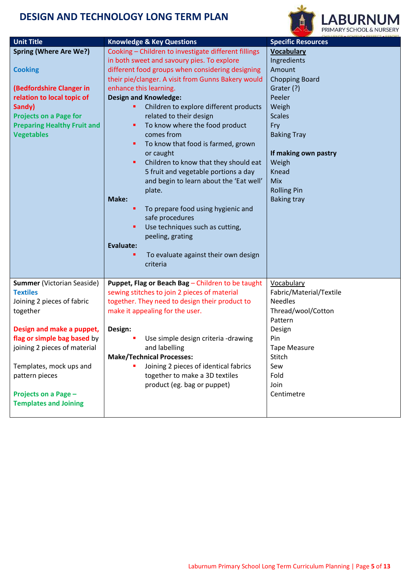

| <b>Unit Title</b>                                                                                                                                                                                               | <b>Knowledge &amp; Key Questions</b>                                                                                                                                                                                                                                                                                                                                                                                                                                                                                                                                                                                                                                                                                                                                                                    | <b>Specific Resources</b>                                                                                                                                                                                                                       |  |
|-----------------------------------------------------------------------------------------------------------------------------------------------------------------------------------------------------------------|---------------------------------------------------------------------------------------------------------------------------------------------------------------------------------------------------------------------------------------------------------------------------------------------------------------------------------------------------------------------------------------------------------------------------------------------------------------------------------------------------------------------------------------------------------------------------------------------------------------------------------------------------------------------------------------------------------------------------------------------------------------------------------------------------------|-------------------------------------------------------------------------------------------------------------------------------------------------------------------------------------------------------------------------------------------------|--|
| <b>Spring (Where Are We?)</b><br><b>Cooking</b><br>(Bedfordshire Clanger in<br>relation to local topic of<br>Sandy)<br><b>Projects on a Page for</b><br><b>Preparing Healthy Fruit and</b><br><b>Vegetables</b> | Cooking - Children to investigate different fillings<br>in both sweet and savoury pies. To explore<br>different food groups when considering designing<br>their pie/clanger. A visit from Gunns Bakery would<br>enhance this learning.<br><b>Design and Knowledge:</b><br>Children to explore different products<br>related to their design<br>To know where the food product<br>٠<br>comes from<br>To know that food is farmed, grown<br>٠<br>or caught<br>Children to know that they should eat<br>٠<br>5 fruit and vegetable portions a day<br>and begin to learn about the 'Eat well'<br>plate.<br>Make:<br>To prepare food using hygienic and<br>٠<br>safe procedures<br>Use techniques such as cutting,<br>٠<br>peeling, grating<br>Evaluate:<br>To evaluate against their own design<br>criteria | <b>Vocabulary</b><br>Ingredients<br>Amount<br><b>Chopping Board</b><br>Grater (?)<br>Peeler<br>Weigh<br><b>Scales</b><br>Fry<br><b>Baking Tray</b><br>If making own pastry<br>Weigh<br>Knead<br>Mix<br><b>Rolling Pin</b><br><b>Baking tray</b> |  |
| <b>Summer (Victorian Seaside)</b><br><b>Textiles</b><br>Joining 2 pieces of fabric<br>together<br>Design and make a puppet,<br>flag or simple bag based by                                                      | Puppet, Flag or Beach Bag - Children to be taught<br>sewing stitches to join 2 pieces of material<br>together. They need to design their product to<br>make it appealing for the user.<br>Design:<br>Use simple design criteria -drawing                                                                                                                                                                                                                                                                                                                                                                                                                                                                                                                                                                | Vocabulary<br>Fabric/Material/Textile<br><b>Needles</b><br>Thread/wool/Cotton<br>Pattern<br>Design<br>Pin                                                                                                                                       |  |
| joining 2 pieces of material<br>Templates, mock ups and<br>pattern pieces<br>Projects on a Page -<br><b>Templates and Joining</b>                                                                               | and labelling<br><b>Make/Technical Processes:</b><br>Joining 2 pieces of identical fabrics<br>together to make a 3D textiles<br>product (eg. bag or puppet)                                                                                                                                                                                                                                                                                                                                                                                                                                                                                                                                                                                                                                             | <b>Tape Measure</b><br>Stitch<br>Sew<br>Fold<br>Join<br>Centimetre                                                                                                                                                                              |  |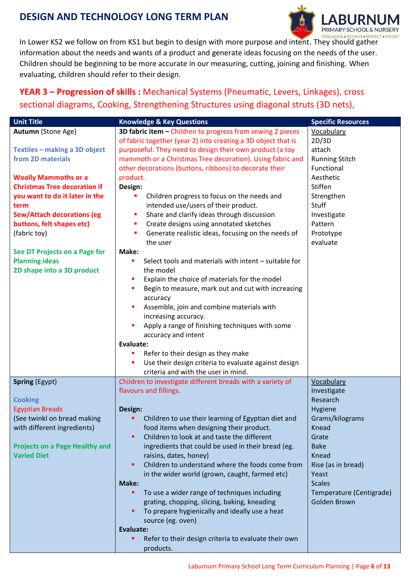

In Lower KS2 we follow on from KS1 but begin to design with more purpose and intent. They should gather information about the needs and wants of a product and generate ideas focusing on the needs of the user. Children should be beginning to be more accurate in our measuring, cutting, joining and finishing. When evaluating, children should refer to their design.

#### <span id="page-5-0"></span>**YEAR 3 – Progression of skills :** Mechanical Systems (Pneumatic, Levers, Linkages), cross sectional diagrams, Cooking, Strengthening Structures using diagonal struts (3D nets),

| <b>Unit Title</b>                     | <b>Knowledge &amp; Key Questions</b>                          | <b>Specific Resources</b> |
|---------------------------------------|---------------------------------------------------------------|---------------------------|
| Autumn (Stone Age)                    | 3D fabric item - Children to progress from sewing 2 pieces    | Vocabulary                |
|                                       | of fabric together (year 2) into creating a 3D object that is | 2D/3D                     |
| Textiles - making a 3D object         | purposeful. They need to design their own product (a toy      | attach                    |
| from 2D materials                     | mammoth or a Christmas Tree decoration). Using fabric and     | <b>Running Stitch</b>     |
|                                       | other decorations (buttons, ribbons) to decorate their        | Functional                |
| <b>Woolly Mammoths or a</b>           | product.                                                      | Aesthetic                 |
| <b>Christmas Tree decoration if</b>   | Design:                                                       | <b>Stiffen</b>            |
| you want to do it later in the        | Children progress to focus on the needs and                   | Strengthen                |
| term                                  | intended use/users of their product.                          | Stuff                     |
| <b>Sew/Attach decorations (eg</b>     | Share and clarify ideas through discussion<br>П               | Investigate               |
| buttons, felt shapes etc)             | Create designs using annotated sketches<br>П                  | Pattern                   |
| (fabric toy)                          | Generate realistic ideas, focusing on the needs of            | Prototype                 |
|                                       | the user                                                      | evaluate                  |
| See DT Projects on a Page for         | Make:                                                         |                           |
| <b>Planning ideas</b>                 | Select tools and materials with intent - suitable for<br>D    |                           |
| 2D shape into a 3D product            | the model                                                     |                           |
|                                       | Explain the choice of materials for the model<br>п            |                           |
|                                       | Begin to measure, mark out and cut with increasing<br>٠       |                           |
|                                       | accuracy                                                      |                           |
|                                       | Assemble, join and combine materials with<br>D                |                           |
|                                       | increasing accuracy.                                          |                           |
|                                       | Apply a range of finishing techniques with some<br>Ė          |                           |
|                                       | accuracy and intent                                           |                           |
|                                       | Evaluate:                                                     |                           |
|                                       | Refer to their design as they make<br>F                       |                           |
|                                       | Use their design criteria to evaluate against design<br>г     |                           |
|                                       | criteria and with the user in mind.                           |                           |
| <b>Spring (Egypt)</b>                 | Children to investigate different breads with a variety of    | Vocabulary                |
|                                       | flavours and fillings.                                        | Investigate               |
| <b>Cooking</b>                        |                                                               | Research                  |
| <b>Egyptian Breads</b>                | Design:                                                       | Hygiene                   |
| (See twinkl on bread making           | Children to use their learning of Egyptian diet and           | Grams/kilograms           |
| with different ingredients)           | food items when designing their product.                      | Knead                     |
|                                       | Children to look at and taste the different<br>٠              | Grate                     |
| <b>Projects on a Page Healthy and</b> | ingredients that could be used in their bread (eg.            | <b>Bake</b>               |
| <b>Varied Diet</b>                    | raisins, dates, honey)                                        | Knead                     |
|                                       | Children to understand where the foods come from<br>٠         | Rise (as in bread)        |
|                                       | in the wider world (grown, caught, farmed etc)                | Yeast                     |
|                                       | Make:                                                         | <b>Scales</b>             |
|                                       | To use a wider range of techniques including<br>٠             | Temperature (Centigrade)  |
|                                       | grating, chopping, slicing, baking, kneading                  | Golden Brown              |
|                                       | To prepare hygienically and ideally use a heat<br>٠           |                           |
|                                       | source (eg. oven)                                             |                           |
|                                       | Evaluate:                                                     |                           |
|                                       | Refer to their design criteria to evaluate their own<br>٠     |                           |
|                                       | products.                                                     |                           |
|                                       |                                                               |                           |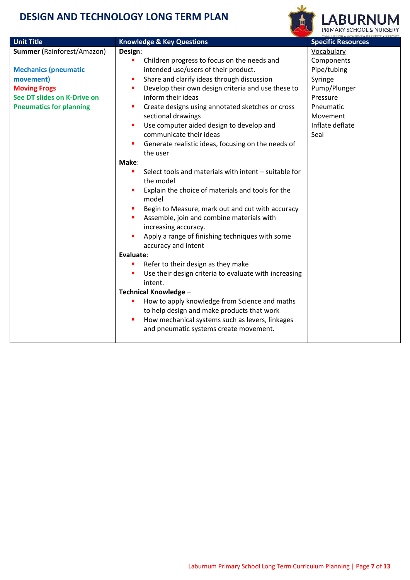

| <b>Unit Title</b>                 | <b>Knowledge &amp; Key Questions</b>                                    | <b>Specific Resources</b> |
|-----------------------------------|-------------------------------------------------------------------------|---------------------------|
| <b>Summer (Rainforest/Amazon)</b> | Design:                                                                 | Vocabulary                |
|                                   | Children progress to focus on the needs and                             | Components                |
| <b>Mechanics (pneumatic</b>       | intended use/users of their product.                                    | Pipe/tubing               |
| movement)                         | Share and clarify ideas through discussion                              | Syringe                   |
| <b>Moving Frogs</b>               | Develop their own design criteria and use these to                      | Pump/Plunger              |
| See DT slides on K-Drive on       | inform their ideas                                                      | Pressure                  |
| <b>Pneumatics for planning</b>    | Create designs using annotated sketches or cross                        | Pneumatic                 |
|                                   | sectional drawings                                                      | Movement                  |
|                                   | Use computer aided design to develop and                                | Inflate deflate           |
|                                   | communicate their ideas                                                 | Seal                      |
|                                   | Generate realistic ideas, focusing on the needs of                      |                           |
|                                   | the user                                                                |                           |
|                                   | Make:                                                                   |                           |
|                                   | Select tools and materials with intent - suitable for<br>$\blacksquare$ |                           |
|                                   | the model                                                               |                           |
|                                   | Explain the choice of materials and tools for the                       |                           |
|                                   | model                                                                   |                           |
|                                   | Begin to Measure, mark out and cut with accuracy                        |                           |
|                                   | Assemble, join and combine materials with                               |                           |
|                                   | increasing accuracy.                                                    |                           |
|                                   | Apply a range of finishing techniques with some                         |                           |
|                                   | accuracy and intent                                                     |                           |
|                                   | Evaluate:                                                               |                           |
|                                   | Refer to their design as they make                                      |                           |
|                                   | Use their design criteria to evaluate with increasing                   |                           |
|                                   | intent.                                                                 |                           |
|                                   | <b>Technical Knowledge -</b>                                            |                           |
|                                   | How to apply knowledge from Science and maths                           |                           |
|                                   | to help design and make products that work                              |                           |
|                                   | How mechanical systems such as levers, linkages                         |                           |
|                                   | and pneumatic systems create movement.                                  |                           |
|                                   |                                                                         |                           |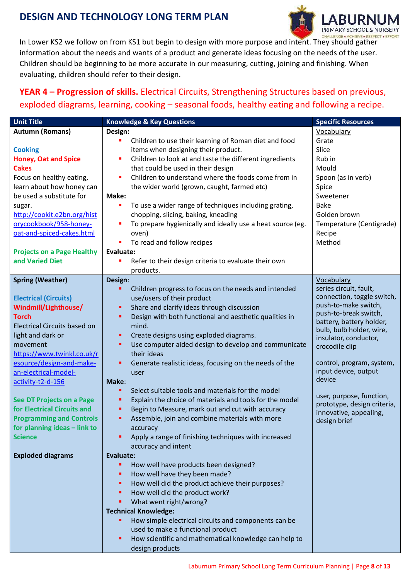

In Lower KS2 we follow on from KS1 but begin to design with more purpose and intent. They should gather information about the needs and wants of a product and generate ideas focusing on the needs of the user. Children should be beginning to be more accurate in our measuring, cutting, joining and finishing. When evaluating, children should refer to their design.

#### <span id="page-7-0"></span>**YEAR 4 – Progression of skills.** Electrical Circuits, Strengthening Structures based on previous, exploded diagrams, learning, cooking – seasonal foods, healthy eating and following a recipe.

| <b>Unit Title</b>                   | <b>Knowledge &amp; Key Questions</b>                         | <b>Specific Resources</b>                               |
|-------------------------------------|--------------------------------------------------------------|---------------------------------------------------------|
| <b>Autumn (Romans)</b>              | Design:                                                      | Vocabulary                                              |
|                                     | Children to use their learning of Roman diet and food        | Grate                                                   |
| <b>Cooking</b>                      | items when designing their product.                          | Slice                                                   |
| <b>Honey, Oat and Spice</b>         | Children to look at and taste the different ingredients<br>П | Rub in                                                  |
| <b>Cakes</b>                        | that could be used in their design                           | Mould                                                   |
| Focus on healthy eating,            | Children to understand where the foods come from in          | Spoon (as in verb)                                      |
| learn about how honey can           | the wider world (grown, caught, farmed etc)                  | Spice                                                   |
| be used a substitute for            | Make:                                                        | Sweetener                                               |
| sugar.                              | To use a wider range of techniques including grating,        | <b>Bake</b>                                             |
| http://cookit.e2bn.org/hist         | chopping, slicing, baking, kneading                          | Golden brown                                            |
| orycookbook/958-honey-              | To prepare hygienically and ideally use a heat source (eg.   | Temperature (Centigrade)                                |
| oat-and-spiced-cakes.html           | oven)                                                        | Recipe                                                  |
|                                     | To read and follow recipes                                   | Method                                                  |
| <b>Projects on a Page Healthy</b>   | Evaluate:                                                    |                                                         |
| and Varied Diet                     | Refer to their design criteria to evaluate their own         |                                                         |
|                                     | products.                                                    |                                                         |
| <b>Spring (Weather)</b>             | Design:                                                      | Vocabulary                                              |
|                                     | Children progress to focus on the needs and intended         | series circuit, fault,                                  |
| <b>Electrical (Circuits)</b>        | use/users of their product                                   | connection, toggle switch,                              |
| Windmill/Lighthouse/                | Share and clarify ideas through discussion                   | push-to-make switch,                                    |
| <b>Torch</b>                        | Design with both functional and aesthetic qualities in       | push-to-break switch,                                   |
| <b>Electrical Circuits based on</b> | mind.                                                        | battery, battery holder,<br>bulb, bulb holder, wire,    |
| light and dark or                   | Create designs using exploded diagrams.                      | insulator, conductor,                                   |
| movement                            | Use computer aided design to develop and communicate<br>٠    | crocodile clip                                          |
| https://www.twinkl.co.uk/r          | their ideas                                                  |                                                         |
| esource/design-and-make-            | Generate realistic ideas, focusing on the needs of the       | control, program, system,                               |
| an-electrical-model-                | user                                                         | input device, output                                    |
| activity-t2-d-156                   | Make:                                                        | device                                                  |
|                                     | Select suitable tools and materials for the model            |                                                         |
| <b>See DT Projects on a Page</b>    | Explain the choice of materials and tools for the model      | user, purpose, function,<br>prototype, design criteria, |
| for Electrical Circuits and         | Begin to Measure, mark out and cut with accuracy<br>٠        | innovative, appealing,                                  |
| <b>Programming and Controls</b>     | Assemble, join and combine materials with more<br>٠          | design brief                                            |
| for planning ideas - link to        | accuracy                                                     |                                                         |
| <b>Science</b>                      | Apply a range of finishing techniques with increased         |                                                         |
|                                     | accuracy and intent                                          |                                                         |
| <b>Exploded diagrams</b>            | Evaluate:                                                    |                                                         |
|                                     | How well have products been designed?<br>٠                   |                                                         |
|                                     | How well have they been made?<br>٠                           |                                                         |
|                                     | How well did the product achieve their purposes?<br>٠        |                                                         |
|                                     | How well did the product work?                               |                                                         |
|                                     | What went right/wrong?<br>٠                                  |                                                         |
|                                     | <b>Technical Knowledge:</b>                                  |                                                         |
|                                     | How simple electrical circuits and components can be         |                                                         |
|                                     | used to make a functional product                            |                                                         |
|                                     | How scientific and mathematical knowledge can help to        |                                                         |
|                                     | design products                                              |                                                         |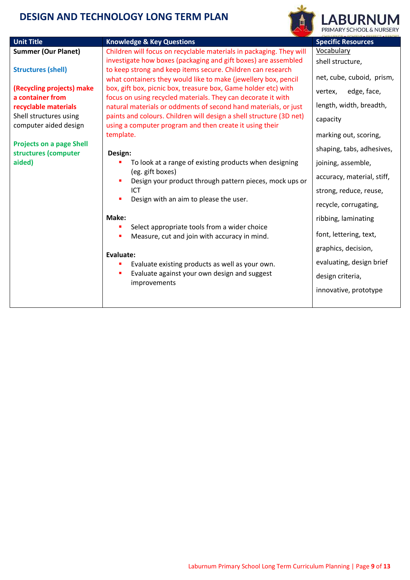

| <b>Unit Title</b>                                                                                                                                          | <b>Knowledge &amp; Key Questions</b>                                                                                           | <b>Specific Resources</b>  |
|------------------------------------------------------------------------------------------------------------------------------------------------------------|--------------------------------------------------------------------------------------------------------------------------------|----------------------------|
| <b>Summer (Our Planet)</b>                                                                                                                                 | Children will focus on recyclable materials in packaging. They will                                                            | Vocabulary                 |
|                                                                                                                                                            | investigate how boxes (packaging and gift boxes) are assembled                                                                 | shell structure,           |
| to keep strong and keep items secure. Children can research<br><b>Structures (shell)</b><br>what containers they would like to make (jewellery box, pencil |                                                                                                                                | net, cube, cuboid, prism,  |
| (Recycling projects) make<br>a container from                                                                                                              | box, gift box, picnic box, treasure box, Game holder etc) with<br>focus on using recycled materials. They can decorate it with | edge, face,<br>vertex,     |
| recyclable materials                                                                                                                                       | natural materials or oddments of second hand materials, or just                                                                | length, width, breadth,    |
| Shell structures using<br>computer aided design                                                                                                            | paints and colours. Children will design a shell structure (3D net)<br>using a computer program and then create it using their | capacity                   |
|                                                                                                                                                            | template.                                                                                                                      | marking out, scoring,      |
| <b>Projects on a page Shell</b>                                                                                                                            |                                                                                                                                | shaping, tabs, adhesives,  |
| structures (computer<br>aided)                                                                                                                             | Design:<br>To look at a range of existing products when designing                                                              | joining, assemble,         |
|                                                                                                                                                            | (eg. gift boxes)                                                                                                               |                            |
|                                                                                                                                                            | Design your product through pattern pieces, mock ups or<br>п                                                                   | accuracy, material, stiff, |
|                                                                                                                                                            | ICT                                                                                                                            | strong, reduce, reuse,     |
|                                                                                                                                                            | Design with an aim to please the user.                                                                                         | recycle, corrugating,      |
|                                                                                                                                                            | Make:                                                                                                                          | ribbing, laminating        |
|                                                                                                                                                            | Select appropriate tools from a wider choice                                                                                   | font, lettering, text,     |
|                                                                                                                                                            | Measure, cut and join with accuracy in mind.                                                                                   |                            |
|                                                                                                                                                            | Evaluate:                                                                                                                      | graphics, decision,        |
|                                                                                                                                                            | Evaluate existing products as well as your own.                                                                                | evaluating, design brief   |
|                                                                                                                                                            | Evaluate against your own design and suggest<br>п<br>improvements                                                              | design criteria,           |
|                                                                                                                                                            |                                                                                                                                | innovative, prototype      |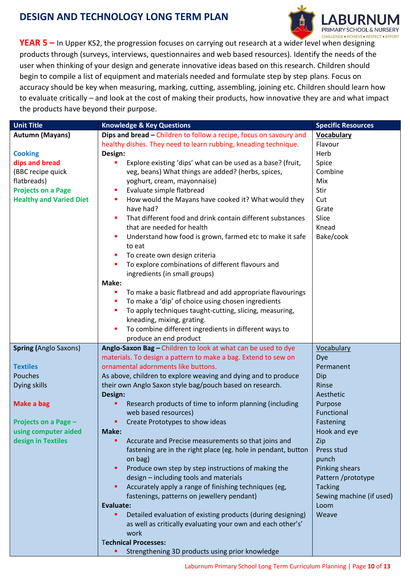

<span id="page-9-0"></span>**YEAR 5 –** In Upper KS2, the progression focuses on carrying out research at a wider level when designing products through (surveys, interviews, questionnaires and web based resources). Identify the needs of the user when thinking of your design and generate innovative ideas based on this research. Children should begin to compile a list of equipment and materials needed and formulate step by step plans. Focus on accuracy should be key when measuring, marking, cutting, assembling, joining etc. Children should learn how to evaluate critically – and look at the cost of making their products, how innovative they are and what impact the products have beyond their purpose.

| <b>Unit Title</b>                            | <b>Knowledge &amp; Key Questions</b>                               | <b>Specific Resources</b> |
|----------------------------------------------|--------------------------------------------------------------------|---------------------------|
| <b>Autumn (Mayans)</b>                       | Dips and bread - Children to follow a recipe, focus on savoury and | <b>Vocabulary</b>         |
|                                              | healthy dishes. They need to learn rubbing, kneading technique.    | Flavour                   |
| <b>Cooking</b>                               | Design:                                                            | Herb                      |
| dips and bread                               | Explore existing 'dips' what can be used as a base? (fruit,<br>п   | Spice                     |
| (BBC recipe quick                            | veg, beans) What things are added? (herbs, spices,                 | Combine                   |
| flatbreads)                                  | yoghurt, cream, mayonnaise)                                        | Mix                       |
| <b>Projects on a Page</b>                    | Evaluate simple flatbread<br>п                                     | Stir                      |
| <b>Healthy and Varied Diet</b>               | How would the Mayans have cooked it? What would they<br>ш          | Cut                       |
|                                              | have had?                                                          | Grate                     |
|                                              | That different food and drink contain different substances<br>п    | Slice                     |
|                                              | that are needed for health                                         | Knead                     |
|                                              | Understand how food is grown, farmed etc to make it safe<br>п      | Bake/cook                 |
|                                              | to eat                                                             |                           |
|                                              | To create own design criteria<br>п                                 |                           |
|                                              | To explore combinations of different flavours and<br>п             |                           |
|                                              | ingredients (in small groups)                                      |                           |
|                                              | Make:                                                              |                           |
|                                              | To make a basic flatbread and add appropriate flavourings<br>ш     |                           |
|                                              | To make a 'dip' of choice using chosen ingredients<br>ш            |                           |
|                                              | To apply techniques taught-cutting, slicing, measuring,<br>п       |                           |
|                                              | kneading, mixing, grating.                                         |                           |
|                                              | To combine different ingredients in different ways to<br>п         |                           |
|                                              | produce an end product                                             |                           |
| <b>Spring (Anglo Saxons)</b>                 | Anglo-Saxon Bag - Children to look at what can be used to dye      | <b>Vocabulary</b>         |
|                                              | materials. To design a pattern to make a bag. Extend to sew on     | Dye                       |
| <b>Textiles</b>                              | ornamental adornments like buttons.                                | Permanent                 |
| Pouches                                      | As above, children to explore weaving and dying and to produce     | Dip                       |
| Dying skills                                 | their own Anglo Saxon style bag/pouch based on research.           | Rinse                     |
|                                              | Design:                                                            | Aesthetic                 |
| <b>Make a bag</b>                            | Research products of time to inform planning (including<br>٠       | Purpose                   |
|                                              | web based resources)<br>٠                                          | Functional                |
| Projects on a Page -<br>using computer aided | Create Prototypes to show ideas<br>Make:                           | Fastening<br>Hook and eye |
| design in Textiles                           | ٠<br>Accurate and Precise measurements so that joins and           | Zip                       |
|                                              | fastening are in the right place (eg. hole in pendant, button      | Press stud                |
|                                              | on bag)                                                            | punch                     |
|                                              | Produce own step by step instructions of making the<br>٠           | Pinking shears            |
|                                              | design - including tools and materials                             | Pattern /prototype        |
|                                              | Accurately apply a range of finishing techniques (eg,<br>٠         | <b>Tacking</b>            |
|                                              | fastenings, patterns on jewellery pendant)                         | Sewing machine (if used)  |
|                                              | Evaluate:                                                          | Loom                      |
|                                              | Detailed evaluation of existing products (during designing)<br>٠   | Weave                     |
|                                              | as well as critically evaluating your own and each other's'        |                           |
|                                              | work                                                               |                           |
|                                              | <b>Technical Processes:</b>                                        |                           |
|                                              | Strengthening 3D products using prior knowledge<br>٠               |                           |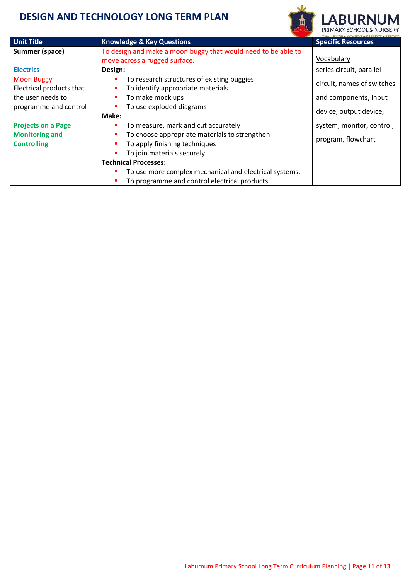ı



**BURNUM** 

|                                               |                                                                                                              | PRIMARY SCHOOL & NURSERY   |
|-----------------------------------------------|--------------------------------------------------------------------------------------------------------------|----------------------------|
| <b>Unit Title</b>                             | <b>Knowledge &amp; Key Questions</b>                                                                         | <b>Specific Resources</b>  |
| Summer (space)                                | To design and make a moon buggy that would need to be able to<br>move across a rugged surface.               | Vocabulary                 |
| <b>Electrics</b>                              | Design:                                                                                                      | series circuit, parallel   |
| <b>Moon Buggy</b><br>Electrical products that | To research structures of existing buggies<br>To identify appropriate materials                              | circuit, names of switches |
| the user needs to                             | To make mock ups                                                                                             | and components, input      |
| programme and control                         | To use exploded diagrams<br>Make:                                                                            | device, output device,     |
| <b>Projects on a Page</b>                     | To measure, mark and cut accurately                                                                          | system, monitor, control,  |
| <b>Monitoring and</b><br><b>Controlling</b>   | To choose appropriate materials to strengthen<br>To apply finishing techniques<br>To join materials securely | program, flowchart         |
|                                               | <b>Technical Processes:</b>                                                                                  |                            |
|                                               | To use more complex mechanical and electrical systems.                                                       |                            |
|                                               | To programme and control electrical products.                                                                |                            |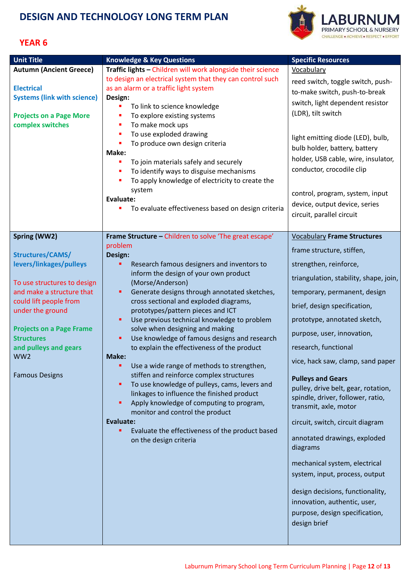

#### <span id="page-11-0"></span>**YEAR 6**

| <b>Unit Title</b>                                    | <b>Knowledge &amp; Key Questions</b>                                                       | <b>Specific Resources</b>                                  |
|------------------------------------------------------|--------------------------------------------------------------------------------------------|------------------------------------------------------------|
| <b>Autumn (Ancient Greece)</b>                       | Traffic lights - Children will work alongside their science                                | <b>Vocabulary</b>                                          |
|                                                      | to design an electrical system that they can control such                                  |                                                            |
| <b>Electrical</b>                                    | as an alarm or a traffic light system                                                      | reed switch, toggle switch, push-                          |
| <b>Systems (link with science)</b>                   | Design:                                                                                    | to-make switch, push-to-break                              |
|                                                      | To link to science knowledge                                                               | switch, light dependent resistor                           |
| <b>Projects on a Page More</b>                       | To explore existing systems<br>П                                                           | (LDR), tilt switch                                         |
| complex switches                                     | To make mock ups<br>П                                                                      |                                                            |
|                                                      | To use exploded drawing<br>п                                                               | light emitting diode (LED), bulb,                          |
|                                                      | To produce own design criteria<br>п                                                        | bulb holder, battery, battery                              |
|                                                      | Make:                                                                                      | holder, USB cable, wire, insulator,                        |
|                                                      | To join materials safely and securely                                                      | conductor, crocodile clip                                  |
|                                                      | To identify ways to disguise mechanisms<br>To apply knowledge of electricity to create the |                                                            |
|                                                      | system                                                                                     |                                                            |
|                                                      | <b>Evaluate:</b>                                                                           | control, program, system, input                            |
|                                                      | To evaluate effectiveness based on design criteria                                         | device, output device, series                              |
|                                                      |                                                                                            | circuit, parallel circuit                                  |
|                                                      |                                                                                            |                                                            |
| Spring (WW2)                                         | Frame Structure - Children to solve 'The great escape'                                     | <b>Vocabulary Frame Structures</b>                         |
|                                                      | problem                                                                                    | frame structure, stiffen,                                  |
| Structures/CAMS/                                     | Design:                                                                                    | strengthen, reinforce,                                     |
| levers/linkages/pulleys                              | Research famous designers and inventors to<br>inform the design of your own product        | triangulation, stability, shape, join,                     |
| To use structures to design                          | (Morse/Anderson)                                                                           |                                                            |
| and make a structure that                            | Generate designs through annotated sketches,<br>٠                                          | temporary, permanent, design                               |
| could lift people from<br>under the ground           | cross sectional and exploded diagrams,<br>prototypes/pattern pieces and ICT                | brief, design specification,                               |
|                                                      | Use previous technical knowledge to problem<br>٠                                           | prototype, annotated sketch,                               |
| <b>Projects on a Page Frame</b><br><b>Structures</b> | solve when designing and making<br>Use knowledge of famous designs and research<br>٠       | purpose, user, innovation,                                 |
| and pulleys and gears                                | to explain the effectiveness of the product                                                | research, functional                                       |
| WW <sub>2</sub>                                      | Make:<br>٠                                                                                 | vice, hack saw, clamp, sand paper                          |
| <b>Famous Designs</b>                                | Use a wide range of methods to strengthen,<br>stiffen and reinforce complex structures     |                                                            |
|                                                      | To use knowledge of pulleys, cams, levers and<br>٠                                         | <b>Pulleys and Gears</b>                                   |
|                                                      | linkages to influence the finished product                                                 | pulley, drive belt, gear, rotation,                        |
|                                                      | Apply knowledge of computing to program,<br>٠                                              | spindle, driver, follower, ratio,<br>transmit, axle, motor |
|                                                      | monitor and control the product                                                            |                                                            |
|                                                      | Evaluate:                                                                                  | circuit, switch, circuit diagram                           |
|                                                      | Evaluate the effectiveness of the product based                                            | annotated drawings, exploded                               |
|                                                      | on the design criteria                                                                     | diagrams                                                   |
|                                                      |                                                                                            | mechanical system, electrical                              |
|                                                      |                                                                                            | system, input, process, output                             |
|                                                      |                                                                                            | design decisions, functionality,                           |
|                                                      |                                                                                            | innovation, authentic, user,                               |
|                                                      |                                                                                            | purpose, design specification,                             |
|                                                      |                                                                                            | design brief                                               |
|                                                      |                                                                                            |                                                            |
|                                                      |                                                                                            |                                                            |